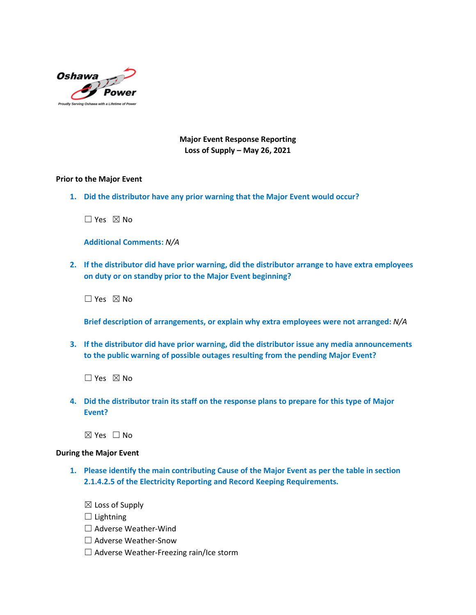

**Major Event Response Reporting Loss of Supply – May 26, 2021**

#### **Prior to the Major Event**

**1. Did the distributor have any prior warning that the Major Event would occur?**

 $\Box$  Yes  $\boxtimes$  No

**Additional Comments:** *N/A*

**2. If the distributor did have prior warning, did the distributor arrange to have extra employees on duty or on standby prior to the Major Event beginning?**

☐ Yes ☒ No

**Brief description of arrangements, or explain why extra employees were not arranged:** *N/A*

**3. If the distributor did have prior warning, did the distributor issue any media announcements to the public warning of possible outages resulting from the pending Major Event?**

☐ Yes ☒ No

**4. Did the distributor train its staff on the response plans to prepare for this type of Major Event?**

☒ Yes ☐ No

#### **During the Major Event**

**1. Please identify the main contributing Cause of the Major Event as per the table in section 2.1.4.2.5 of the Electricity Reporting and Record Keeping Requirements.**

 $\boxtimes$  Loss of Supply

 $\Box$  Lightning

- ☐ Adverse Weather-Wind
- ☐ Adverse Weather-Snow
- $\Box$  Adverse Weather-Freezing rain/Ice storm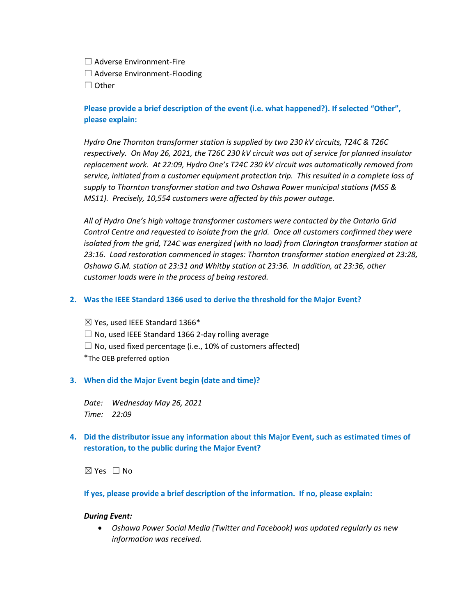☐ Adverse Environment-Fire

☐ Adverse Environment-Flooding

☐ Other

# **Please provide a brief description of the event (i.e. what happened?). If selected "Other", please explain:**

*Hydro One Thornton transformer station is supplied by two 230 kV circuits, T24C & T26C respectively. On May 26, 2021, the T26C 230 kV circuit was out of service for planned insulator replacement work. At 22:09, Hydro One's T24C 230 kV circuit was automatically removed from service, initiated from a customer equipment protection trip. This resulted in a complete loss of supply to Thornton transformer station and two Oshawa Power municipal stations (MS5 & MS11). Precisely, 10,554 customers were affected by this power outage.*

*All of Hydro One's high voltage transformer customers were contacted by the Ontario Grid Control Centre and requested to isolate from the grid. Once all customers confirmed they were isolated from the grid, T24C was energized (with no load) from Clarington transformer station at 23:16. Load restoration commenced in stages: Thornton transformer station energized at 23:28, Oshawa G.M. station at 23:31 and Whitby station at 23:36. In addition, at 23:36, other customer loads were in the process of being restored.*

## **2. Was the IEEE Standard 1366 used to derive the threshold for the Major Event?**

 $\boxtimes$  Yes, used IEEE Standard 1366\*  $\Box$  No, used IEEE Standard 1366 2-day rolling average  $\Box$  No, used fixed percentage (i.e., 10% of customers affected) \*The OEB preferred option

## **3. When did the Major Event begin (date and time)?**

*Date: Wednesday May 26, 2021 Time: 22:09*

# **4. Did the distributor issue any information about this Major Event, such as estimated times of restoration, to the public during the Major Event?**

☒ Yes ☐ No

## **If yes, please provide a brief description of the information. If no, please explain:**

### *During Event:*

• *Oshawa Power Social Media (Twitter and Facebook) was updated regularly as new information was received.*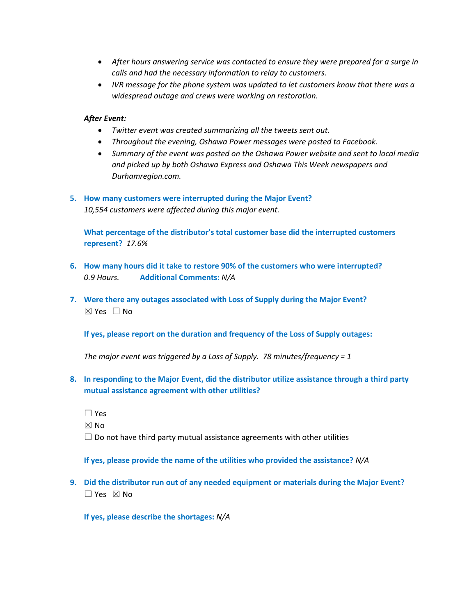- *After hours answering service was contacted to ensure they were prepared for a surge in calls and had the necessary information to relay to customers.*
- *IVR message for the phone system was updated to let customers know that there was a widespread outage and crews were working on restoration.*

### *After Event:*

- *Twitter event was created summarizing all the tweets sent out.*
- *Throughout the evening, Oshawa Power messages were posted to Facebook.*
- *Summary of the event was posted on the Oshawa Power website and sent to local media and picked up by both Oshawa Express and Oshawa This Week newspapers and Durhamregion.com.*

### **5. How many customers were interrupted during the Major Event?** *10,554 customers were affected during this major event.*

**What percentage of the distributor's total customer base did the interrupted customers represent?** *17.6%*

- **6. How many hours did it take to restore 90% of the customers who were interrupted?** *0.9 Hours.* **Additional Comments:** *N/A*
- **7. Were there any outages associated with Loss of Supply during the Major Event?** ☒ Yes ☐ No

**If yes, please report on the duration and frequency of the Loss of Supply outages:**

*The major event was triggered by a Loss of Supply. 78 minutes/frequency = 1*

- **8. In responding to the Major Event, did the distributor utilize assistance through a third party mutual assistance agreement with other utilities?**
	- ☐ Yes

 $\boxtimes$  No

 $\Box$  Do not have third party mutual assistance agreements with other utilities

**If yes, please provide the name of the utilities who provided the assistance?** *N/A*

**9. Did the distributor run out of any needed equipment or materials during the Major Event?**  $\square$  Yes  $\boxtimes$  No

**If yes, please describe the shortages:** *N/A*